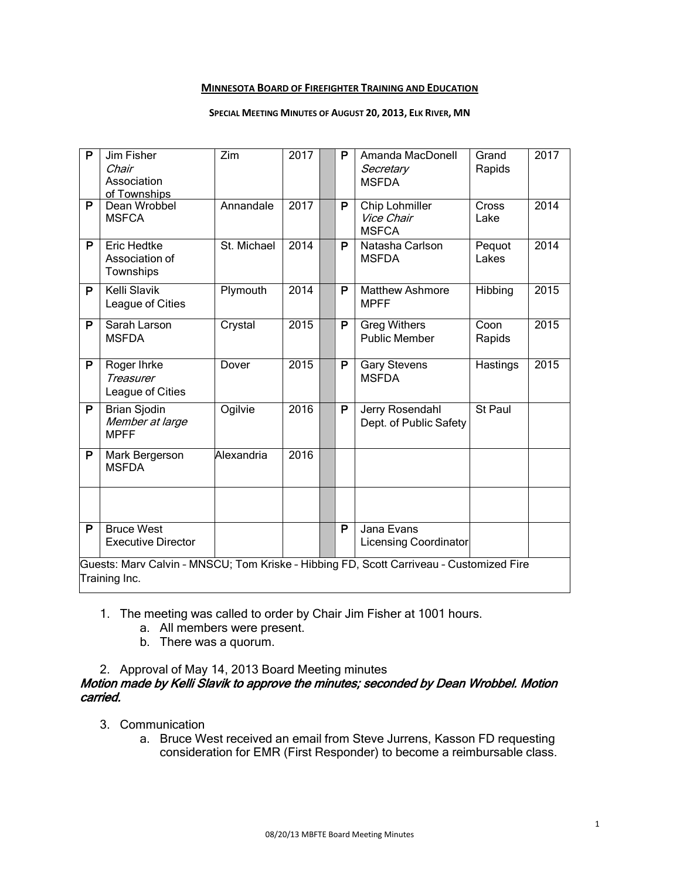#### **MINNESOTA BOARD OF FIREFIGHTER TRAINING AND EDUCATION**

#### **SPECIAL MEETING MINUTES OF AUGUST 20, 2013, ELK RIVER, MN**

| P                                                                                                        | Jim Fisher<br>Chair<br>Association<br>of Townships    | Zim         | 2017 |  | P | Amanda MacDonell<br>Secretary<br><b>MSFDA</b> | Grand<br>Rapids | 2017 |
|----------------------------------------------------------------------------------------------------------|-------------------------------------------------------|-------------|------|--|---|-----------------------------------------------|-----------------|------|
| P                                                                                                        | Dean Wrobbel<br><b>MSFCA</b>                          | Annandale   | 2017 |  | P | Chip Lohmiller<br>Vice Chair<br><b>MSFCA</b>  | Cross<br>Lake   | 2014 |
| P                                                                                                        | <b>Eric Hedtke</b><br>Association of<br>Townships     | St. Michael | 2014 |  | P | Natasha Carlson<br><b>MSFDA</b>               | Pequot<br>Lakes | 2014 |
| P                                                                                                        | Kelli Slavik<br>League of Cities                      | Plymouth    | 2014 |  | P | <b>Matthew Ashmore</b><br><b>MPFF</b>         | Hibbing         | 2015 |
| P                                                                                                        | Sarah Larson<br><b>MSFDA</b>                          | Crystal     | 2015 |  | P | <b>Greg Withers</b><br><b>Public Member</b>   | Coon<br>Rapids  | 2015 |
| P                                                                                                        | Roger Ihrke<br>Treasurer<br>League of Cities          | Dover       | 2015 |  | P | <b>Gary Stevens</b><br><b>MSFDA</b>           | Hastings        | 2015 |
| P                                                                                                        | <b>Brian Sjodin</b><br>Member at large<br><b>MPFF</b> | Ogilvie     | 2016 |  | P | Jerry Rosendahl<br>Dept. of Public Safety     | St Paul         |      |
| P                                                                                                        | Mark Bergerson<br><b>MSFDA</b>                        | Alexandria  | 2016 |  |   |                                               |                 |      |
|                                                                                                          |                                                       |             |      |  |   |                                               |                 |      |
| P                                                                                                        | <b>Bruce West</b><br><b>Executive Director</b>        |             |      |  | P | Jana Evans<br><b>Licensing Coordinator</b>    |                 |      |
| Guests: Marv Calvin - MNSCU; Tom Kriske - Hibbing FD, Scott Carriveau - Customized Fire<br>Training Inc. |                                                       |             |      |  |   |                                               |                 |      |

#### 1. The meeting was called to order by Chair Jim Fisher at 1001 hours.

- a. All members were present.
- b. There was a quorum.
- 2. Approval of May 14, 2013 Board Meeting minutes

## Motion made by Kelli Slavik to approve the minutes; seconded by Dean Wrobbel. Motion carried.

- 3. Communication
	- a. Bruce West received an email from Steve Jurrens, Kasson FD requesting consideration for EMR (First Responder) to become a reimbursable class.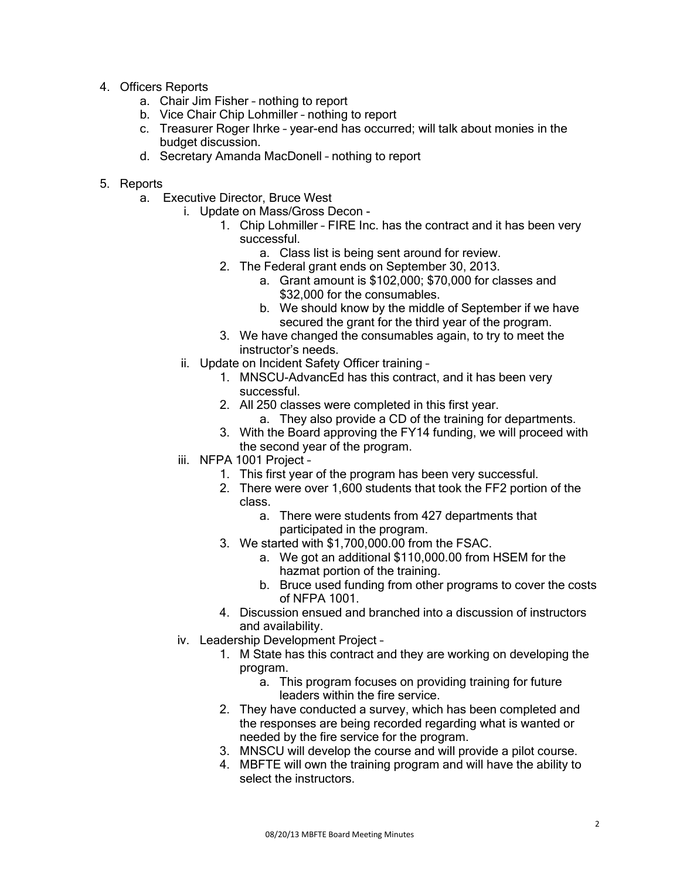- 4. Officers Reports
	- a. Chair Jim Fisher nothing to report
	- b. Vice Chair Chip Lohmiller nothing to report
	- c. Treasurer Roger Ihrke year-end has occurred; will talk about monies in the budget discussion.
	- d. Secretary Amanda MacDonell nothing to report
- 5. Reports
	- a. Executive Director, Bruce West
		- i. Update on Mass/Gross Decon
			- 1. Chip Lohmiller FIRE Inc. has the contract and it has been very successful.
				- a. Class list is being sent around for review.
			- 2. The Federal grant ends on September 30, 2013.
				- a. Grant amount is \$102,000; \$70,000 for classes and \$32,000 for the consumables.
				- b. We should know by the middle of September if we have secured the grant for the third year of the program.
			- 3. We have changed the consumables again, to try to meet the instructor's needs.
		- ii. Update on Incident Safety Officer training
			- 1. MNSCU-AdvancEd has this contract, and it has been very successful.
			- 2. All 250 classes were completed in this first year.
				- a. They also provide a CD of the training for departments.
			- 3. With the Board approving the FY14 funding, we will proceed with the second year of the program.
		- iii. NFPA 1001 Project
			- 1. This first year of the program has been very successful.
			- 2. There were over 1,600 students that took the FF2 portion of the class.
				- a. There were students from 427 departments that participated in the program.
			- 3. We started with \$1,700,000.00 from the FSAC.
				- a. We got an additional \$110,000.00 from HSEM for the hazmat portion of the training.
				- b. Bruce used funding from other programs to cover the costs of NFPA 1001.
			- 4. Discussion ensued and branched into a discussion of instructors and availability.
		- iv. Leadership Development Project
			- 1. M State has this contract and they are working on developing the program.
				- a. This program focuses on providing training for future leaders within the fire service.
			- 2. They have conducted a survey, which has been completed and the responses are being recorded regarding what is wanted or needed by the fire service for the program.
			- 3. MNSCU will develop the course and will provide a pilot course.
			- 4. MBFTE will own the training program and will have the ability to select the instructors.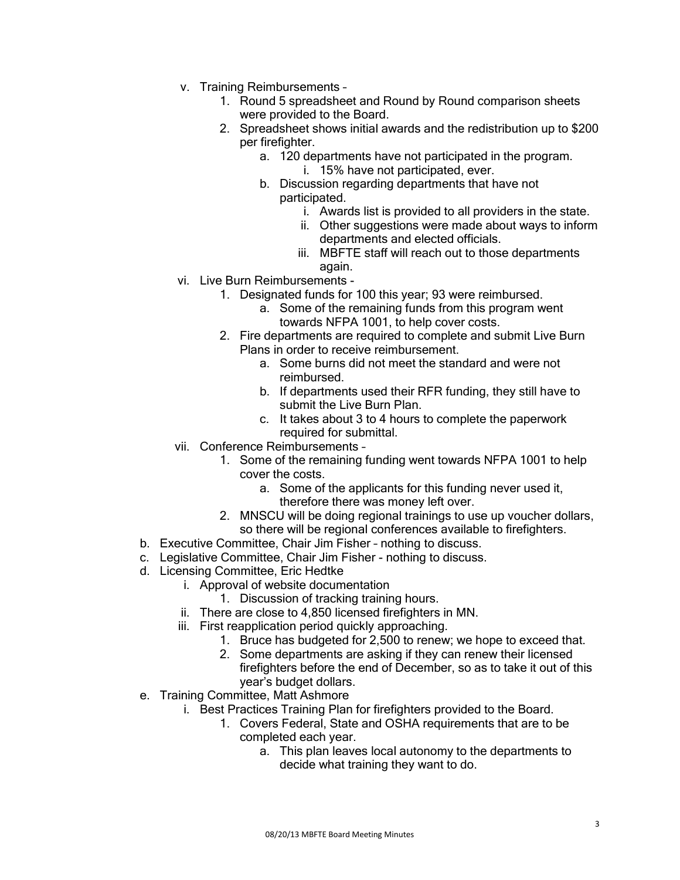- v. Training Reimbursements
	- 1. Round 5 spreadsheet and Round by Round comparison sheets were provided to the Board.
	- 2. Spreadsheet shows initial awards and the redistribution up to \$200 per firefighter.
		- a. 120 departments have not participated in the program. i. 15% have not participated, ever.
		- b. Discussion regarding departments that have not participated.
			- i. Awards list is provided to all providers in the state.
			- ii. Other suggestions were made about ways to inform departments and elected officials.
			- iii. MBFTE staff will reach out to those departments again.
- vi. Live Burn Reimbursements
	- 1. Designated funds for 100 this year; 93 were reimbursed.
		- a. Some of the remaining funds from this program went towards NFPA 1001, to help cover costs.
	- 2. Fire departments are required to complete and submit Live Burn Plans in order to receive reimbursement.
		- a. Some burns did not meet the standard and were not reimbursed.
		- b. If departments used their RFR funding, they still have to submit the Live Burn Plan.
		- c. It takes about 3 to 4 hours to complete the paperwork required for submittal.
- vii. Conference Reimbursements
	- 1. Some of the remaining funding went towards NFPA 1001 to help cover the costs.
		- a. Some of the applicants for this funding never used it, therefore there was money left over.
	- 2. MNSCU will be doing regional trainings to use up voucher dollars, so there will be regional conferences available to firefighters.
- b. Executive Committee, Chair Jim Fisher nothing to discuss.
- c. Legislative Committee, Chair Jim Fisher nothing to discuss.
- d. Licensing Committee, Eric Hedtke
	- i. Approval of website documentation
		- 1. Discussion of tracking training hours.
	- ii. There are close to 4,850 licensed firefighters in MN.
	- iii. First reapplication period quickly approaching.
		- 1. Bruce has budgeted for 2,500 to renew; we hope to exceed that.
		- 2. Some departments are asking if they can renew their licensed firefighters before the end of December, so as to take it out of this year's budget dollars.
- e. Training Committee, Matt Ashmore
	- i. Best Practices Training Plan for firefighters provided to the Board.
		- 1. Covers Federal, State and OSHA requirements that are to be completed each year.
			- a. This plan leaves local autonomy to the departments to decide what training they want to do.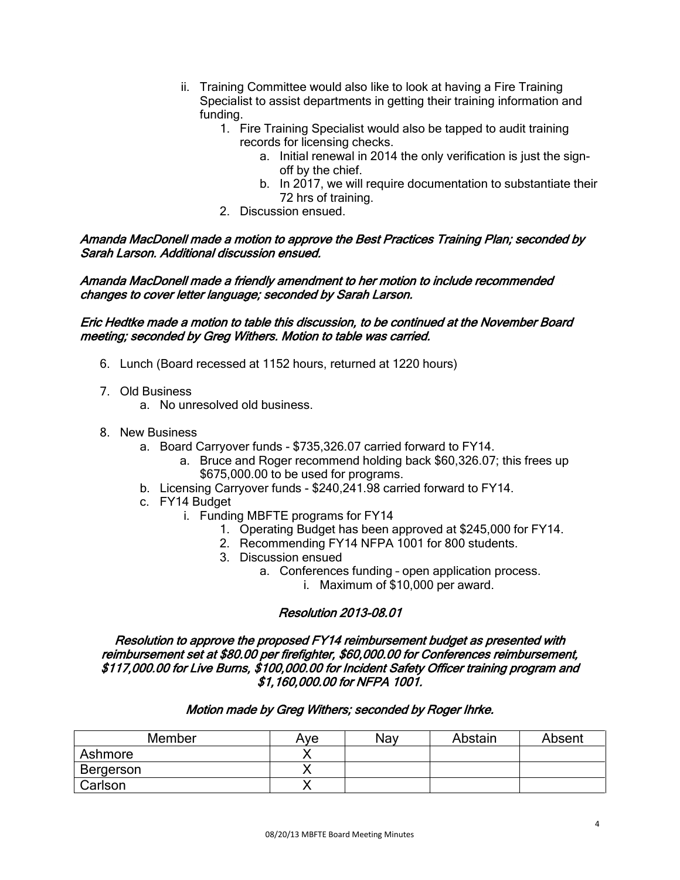- ii. Training Committee would also like to look at having a Fire Training Specialist to assist departments in getting their training information and funding.
	- 1. Fire Training Specialist would also be tapped to audit training records for licensing checks.
		- a. Initial renewal in 2014 the only verification is just the signoff by the chief.
		- b. In 2017, we will require documentation to substantiate their 72 hrs of training.
	- 2. Discussion ensued.

## Amanda MacDonell made a motion to approve the Best Practices Training Plan; seconded by Sarah Larson. Additional discussion ensued.

Amanda MacDonell made a friendly amendment to her motion to include recommended changes to cover letter language; seconded by Sarah Larson.

### Eric Hedtke made a motion to table this discussion, to be continued at the November Board meeting; seconded by Greg Withers. Motion to table was carried.

- 6. Lunch (Board recessed at 1152 hours, returned at 1220 hours)
- 7. Old Business
	- a. No unresolved old business.
- 8. New Business
	- a. Board Carryover funds \$735,326.07 carried forward to FY14.
		- a. Bruce and Roger recommend holding back \$60,326.07; this frees up \$675,000.00 to be used for programs.
	- b. Licensing Carryover funds \$240,241.98 carried forward to FY14.
	- c. FY14 Budget
		- i. Funding MBFTE programs for FY14
			- 1. Operating Budget has been approved at \$245,000 for FY14.
			- 2. Recommending FY14 NFPA 1001 for 800 students.
			- 3. Discussion ensued
				- a. Conferences funding open application process.
					- i. Maximum of \$10,000 per award.

# Resolution 2013-08.01

Resolution to approve the proposed FY14 reimbursement budget as presented with reimbursement set at \$80.00 per firefighter, \$60,000.00 for Conferences reimbursement, \$117,000.00 for Live Burns, \$100,000.00 for Incident Safety Officer training program and \$1,160,000.00 for NFPA 1001.

#### Motion made by Greg Withers; seconded by Roger Ihrke.

| Member    | Ave | Nav | Abstain | Absent |
|-----------|-----|-----|---------|--------|
| Ashmore   |     |     |         |        |
| Bergerson |     |     |         |        |
| Carlson   |     |     |         |        |